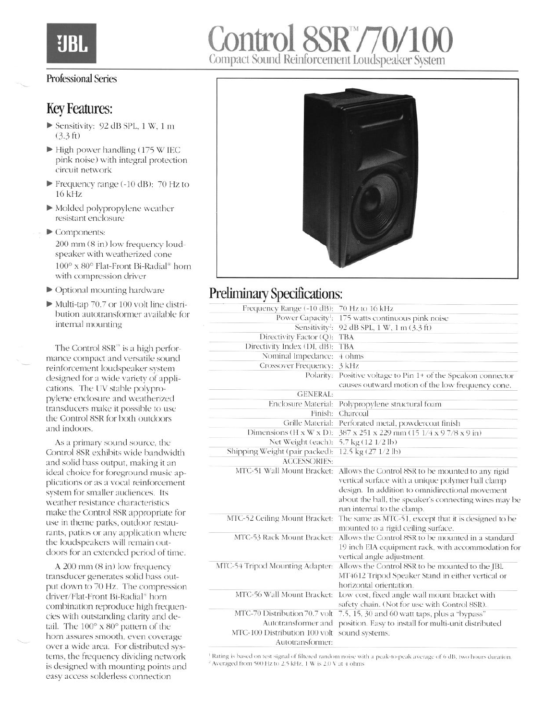

## Professional Series

## Key Features:

- $\blacktriangleright$  Sensitivity: 92 dB SPL, 1 W, 1 m (3.3 ft)
- $\blacktriangleright$  High power handling (175 W IEC pink noise) with integral protection circuit network
- Frequency range (-10 dB):  $70$  Hz to 16 kHz
- $\blacktriangleright$  Molded polypropylene weather resistant enclosure
- $\blacktriangleright$  Components: 200 mm (8 in) low frequency loudspeaker with weatherized cone 100" x 80" Flat-Front Bi-Radial" horn with compression driver
- $\blacktriangleright$  Optional mounting hardware
- $\blacktriangleright$  Multi-tap 70.7 or 100 volt line distribution autotransformer available for internal mounting

The Control  $8SR^m$  is a high performance compact and versatile sound reinforcement loudspeaker system designed for a wide variety of applications. The LN stable polypropylene enclosure and weatherized transducers make it possible to use the Control 8SR for both outdoors and indoors.

As a primary sound source, the Control 8SR exhibits wide bandwidth and solid bass output. making it an ideal choice for foreground music applications or as a vocal reinforcement system for smaller audiences. Its weather resistance characteristics make the Control XSR appropriate for use in theme parks, outdoor restaurants, patios or any application where the loudspeakers will remain outdoors for an extended period of time.

A 200 mm (8 in) low frequency transducer generates solid bass output down to 70 Hz. The compression driver/Flat-Front Bi-Radial<sup>\*</sup> horn combination reproduce high frequencies with outstanding clarity and detail. The  $100^\circ$  x  $80^\circ$  pattern of the horn assures smooth, even coverage over a wide area. For distributed systems, the frequency dividing network is designed with mounting points and easy access solderless connection



## Preliminary Specifications:

| Frequency Range (-10 dB): 70 Hz to 16 kHz         |                                                                                                                                                                                                                                                  |
|---------------------------------------------------|--------------------------------------------------------------------------------------------------------------------------------------------------------------------------------------------------------------------------------------------------|
|                                                   | Power Capacity <sup>1</sup> : 175 watts continuous pink noise                                                                                                                                                                                    |
|                                                   | Sensitivity <sup>2</sup> : 92 dB SPL, 1 W, 1 m (3.3 ft)                                                                                                                                                                                          |
| Directivity Factor (Q):                           | <b>TBA</b>                                                                                                                                                                                                                                       |
| Directivity Index (DI, dB):                       | <b>TBA</b>                                                                                                                                                                                                                                       |
| Nominal Impedance:                                | 4 ohms                                                                                                                                                                                                                                           |
| <b>Crossover Frequency:</b>                       | $3$ kHz                                                                                                                                                                                                                                          |
| Polarity:                                         | Positive voltage to Pin 1+ of the Speakon connector                                                                                                                                                                                              |
|                                                   | causes outward motion of the low frequency cone.                                                                                                                                                                                                 |
| <b>GENERAL:</b>                                   |                                                                                                                                                                                                                                                  |
| Enclosure Material:                               | Polypropylene structural foam                                                                                                                                                                                                                    |
| Finish:                                           | Charcoal                                                                                                                                                                                                                                         |
| Grille Material:                                  | Perforated metal, powdercoat finish                                                                                                                                                                                                              |
| Dimensions (H x W x D):                           | 387 x 251 x 229 mm (15 1/4 x 9 7/8 x 9 in)                                                                                                                                                                                                       |
| Net Weight (each):                                | 5.7 kg (12 1/2 lb)                                                                                                                                                                                                                               |
| Shipping Weight (pair packed):                    | 12.5 kg (27 1/2 lb)                                                                                                                                                                                                                              |
| <b>ACCESSORIES:</b>                               |                                                                                                                                                                                                                                                  |
| MTC-51 Wall Mount Bracket:                        | Allows the Control 8SR to be mounted to any rigid<br>vertical surface with a unique polymer ball clamp<br>design. In addition to omnidirectional movement<br>about the ball, the speaker's connecting wires may be<br>run internal to the clamp. |
| MTC-52 Ceiling Mount Bracket:                     | The same as MTC-51, except that it is designed to be<br>mounted to a rigid ceiling surface.                                                                                                                                                      |
| MTC-53 Rack Mount Bracket:                        | Allows the Control 8SR to be mounted in a standard<br>19 inch EIA equipment rack, with accommodation for<br>vertical angle adjustment.                                                                                                           |
| MTC-54 Tripod Mounting Adapter:                   | Allows the Control 8SR to be mounted to the JBL<br>MT4612 Tripod Speaker Stand in either vertical or<br>horizontal orientation.                                                                                                                  |
| MTC-56 Wall Mount Bracket:                        | Low cost, fixed angle wall mount bracket with<br>safety chain. (Not for use with Control 8SR).                                                                                                                                                   |
| MTC-70 Distribution 70.7 volt                     | 7.5, 15, 30 and 60 watt taps, plus a "bypass"                                                                                                                                                                                                    |
| Autotransformer and                               | position. Easy to install for multi-unit distributed                                                                                                                                                                                             |
| MTC-100 Distribution 100 volt<br>Autotransformer: | sound systems.                                                                                                                                                                                                                                   |
|                                                   |                                                                                                                                                                                                                                                  |

Rating is based on test signal of filtered random noise with a peak-to-peak average of 6 dB, two hours duration, <sup>2</sup> Averaged from 500 Hz to 2.5 kHz, 1 W is 2.0 V at 4 ohms